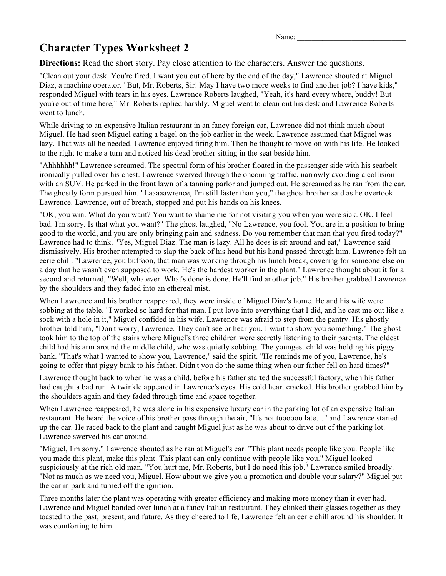Name:

### **Character Types Worksheet 2**

**Directions:** Read the short story. Pay close attention to the characters. Answer the questions.

"Clean out your desk. You're fired. I want you out of here by the end of the day," Lawrence shouted at Miguel Diaz, a machine operator. "But, Mr. Roberts, Sir! May I have two more weeks to find another job? I have kids," responded Miguel with tears in his eyes. Lawrence Roberts laughed, "Yeah, it's hard every where, buddy! But you're out of time here," Mr. Roberts replied harshly. Miguel went to clean out his desk and Lawrence Roberts went to lunch.

While driving to an expensive Italian restaurant in an fancy foreign car, Lawrence did not think much about Miguel. He had seen Miguel eating a bagel on the job earlier in the week. Lawrence assumed that Miguel was lazy. That was all he needed. Lawrence enjoyed firing him. Then he thought to move on with his life. He looked to the right to make a turn and noticed his dead brother sitting in the seat beside him.

"Ahhhhhh!" Lawrence screamed. The spectral form of his brother floated in the passenger side with his seatbelt ironically pulled over his chest. Lawrence swerved through the oncoming traffic, narrowly avoiding a collision with an SUV. He parked in the front lawn of a tanning parlor and jumped out. He screamed as he ran from the car. The ghostly form pursued him. "Laaaaawrence, I'm still faster than you," the ghost brother said as he overtook Lawrence. Lawrence, out of breath, stopped and put his hands on his knees.

"OK, you win. What do you want? You want to shame me for not visiting you when you were sick. OK, I feel bad. I'm sorry. Is that what you want?" The ghost laughed, "No Lawrence, you fool. You are in a position to bring good to the world, and you are only bringing pain and sadness. Do you remember that man that you fired today?" Lawrence had to think. "Yes, Miguel Diaz. The man is lazy. All he does is sit around and eat," Lawrence said dismissively. His brother attempted to slap the back of his head but his hand passed through him. Lawrence felt an eerie chill. "Lawrence, you buffoon, that man was working through his lunch break, covering for someone else on a day that he wasn't even supposed to work. He's the hardest worker in the plant." Lawrence thought about it for a second and returned, "Well, whatever. What's done is done. He'll find another job." His brother grabbed Lawrence by the shoulders and they faded into an ethereal mist.

When Lawrence and his brother reappeared, they were inside of Miguel Diaz's home. He and his wife were sobbing at the table. "I worked so hard for that man. I put love into everything that I did, and he cast me out like a sock with a hole in it," Miguel confided in his wife. Lawrence was afraid to step from the pantry. His ghostly brother told him, "Don't worry, Lawrence. They can't see or hear you. I want to show you something." The ghost took him to the top of the stairs where Miguel's three children were secretly listening to their parents. The oldest child had his arm around the middle child, who was quietly sobbing. The youngest child was holding his piggy bank. "That's what I wanted to show you, Lawrence," said the spirit. "He reminds me of you, Lawrence, he's going to offer that piggy bank to his father. Didn't you do the same thing when our father fell on hard times?"

Lawrence thought back to when he was a child, before his father started the successful factory, when his father had caught a bad run. A twinkle appeared in Lawrence's eyes. His cold heart cracked. His brother grabbed him by the shoulders again and they faded through time and space together.

When Lawrence reappeared, he was alone in his expensive luxury car in the parking lot of an expensive Italian restaurant. He heard the voice of his brother pass through the air, "It's not toooooo late…" and Lawrence started up the car. He raced back to the plant and caught Miguel just as he was about to drive out of the parking lot. Lawrence swerved his car around.

"Miguel, I'm sorry," Lawrence shouted as he ran at Miguel's car. "This plant needs people like you. People like you made this plant, make this plant. This plant can only continue with people like you." Miguel looked suspiciously at the rich old man. "You hurt me, Mr. Roberts, but I do need this job." Lawrence smiled broadly. "Not as much as we need you, Miguel. How about we give you a promotion and double your salary?" Miguel put the car in park and turned off the ignition.

Three months later the plant was operating with greater efficiency and making more money than it ever had. Lawrence and Miguel bonded over lunch at a fancy Italian restaurant. They clinked their glasses together as they toasted to the past, present, and future. As they cheered to life, Lawrence felt an eerie chill around his shoulder. It was comforting to him.